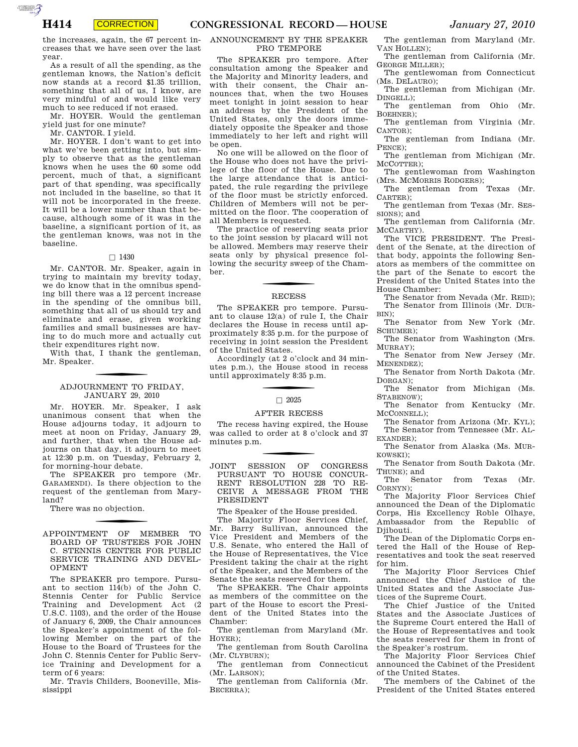**CORRECTION** 

the increases, again, the 67 percent increases that we have seen over the last year.

As a result of all the spending, as the gentleman knows, the Nation's deficit now stands at a record \$1.35 trillion, something that all of us, I know, are very mindful of and would like very much to see reduced if not erased.

Mr. HOYER. Would the gentleman yield just for one minute?

Mr. CANTOR. I yield.

AUTOROTOMICALE CONTINUES

Mr. HOYER. I don't want to get into what we've been getting into, but simply to observe that as the gentleman knows when he uses the 60 some odd percent, much of that, a significant part of that spending, was specifically not included in the baseline, so that it will not be incorporated in the freeze. It will be a lower number than that because, although some of it was in the baseline, a significant portion of it, as the gentleman knows, was not in the baseline.

## $\Box$  1430

Mr. CANTOR. Mr. Speaker, again in trying to maintain my brevity today, we do know that in the omnibus spending bill there was a 12 percent increase in the spending of the omnibus bill, something that all of us should try and eliminate and erase, given working families and small businesses are having to do much more and actually cut their expenditures right now.

With that, I thank the gentleman, Mr. Speaker.

# f ADJOURNMENT TO FRIDAY, JANUARY 29, 2010

Mr. HOYER. Mr. Speaker, I ask unanimous consent that when the House adjourns today, it adjourn to meet at noon on Friday, January 29, and further, that when the House adjourns on that day, it adjourn to meet at 12:30 p.m. on Tuesday, February 2, for morning-hour debate.

The SPEAKER pro tempore (Mr. GARAMENDI). Is there objection to the request of the gentleman from Maryland?

There was no objection.

### APPOINTMENT OF MEMBER TO BOARD OF TRUSTEES FOR JOHN C. STENNIS CENTER FOR PUBLIC SERVICE TRAINING AND DEVEL-OPMENT

The SPEAKER pro tempore. Pursuant to section 114(b) of the John C. Stennis Center for Public Service Training and Development Act (2 U.S.C. 1103), and the order of the House of January 6, 2009, the Chair announces the Speaker's appointment of the following Member on the part of the House to the Board of Trustees for the John C. Stennis Center for Public Service Training and Development for a term of 6 years:

Mr. Travis Childers, Booneville, Mississippi

## ANNOUNCEMENT BY THE SPEAKER PRO TEMPORE

The SPEAKER pro tempore. After consultation among the Speaker and the Majority and Minority leaders, and with their consent, the Chair announces that, when the two Houses meet tonight in joint session to hear an address by the President of the United States, only the doors immediately opposite the Speaker and those immediately to her left and right will be open.

No one will be allowed on the floor of the House who does not have the privilege of the floor of the House. Due to the large attendance that is anticipated, the rule regarding the privilege of the floor must be strictly enforced. Children of Members will not be permitted on the floor. The cooperation of all Members is requested.

The practice of reserving seats prior to the joint session by placard will not be allowed. Members may reserve their seats only by physical presence following the security sweep of the Chamber.

### RECESS

The SPEAKER pro tempore. Pursuant to clause 12(a) of rule I, the Chair declares the House in recess until approximately 8:35 p.m. for the purpose of receiving in joint session the President of the United States.

Accordingly (at 2 o'clock and 34 minutes p.m.), the House stood in recess until approximately 8:35 p.m.

#### $\Box$  2025

#### AFTER RECESS

The recess having expired, the House was called to order at 8 o'clock and 37 minutes p.m.

JOINT SESSION OF CONGRESS PURSUANT TO HOUSE CONCUR-RENT RESOLUTION 228 TO RE-CEIVE A MESSAGE FROM THE PRESIDENT

The Speaker of the House presided.

The Majority Floor Services Chief, Mr. Barry Sullivan, announced the Vice President and Members of the U.S. Senate, who entered the Hall of the House of Representatives, the Vice President taking the chair at the right of the Speaker, and the Members of the Senate the seats reserved for them.

The SPEAKER. The Chair appoints as members of the committee on the part of the House to escort the President of the United States into the Chamber:

The gentleman from Maryland (Mr. HOYER);

The gentleman from South Carolina (Mr. CLYBURN);

The gentleman from Connecticut (Mr. LARSON);

The gentleman from California (Mr. BECERRA);

The gentleman from Maryland (Mr. VAN HOLLEN);

The gentleman from California (Mr. GEORGE MILLER);

The gentlewoman from Connecticut (Ms. DELAURO);

The gentleman from Michigan (Mr. DINGELL): The gentleman from Ohio (Mr.

BOEHNER);

The gentleman from Virginia (Mr. CANTOR);

The gentleman from Indiana (Mr. PENCE);

The gentleman from Michigan (Mr. MCCOTTER);

The gentlewoman from Washington (Mrs. MCMORRIS RODGERS);

The gentleman from Texas (Mr. CARTER);

The gentleman from Texas (Mr. SES-SIONS); and

The gentleman from California (Mr. MCCARTHY).

The VICE PRESIDENT. The President of the Senate, at the direction of that body, appoints the following Senators as members of the committee on the part of the Senate to escort the President of the United States into the House Chamber:

The Senator from Nevada (Mr. REID); The Senator from Illinois (Mr. DUR-BIN);

The Senator from New York (Mr. SCHUMER);

The Senator from Washington (Mrs. MURRAY);

The Senator from New Jersey (Mr. MENENDEZ);

The Senator from North Dakota (Mr. DORGAN);

The Senator from Michigan (Ms. STABENOW);

The Senator from Kentucky (Mr. MCCONNELL);

The Senator from Arizona (Mr. KYL); The Senator from Tennessee (Mr. AL-EXANDER);

The Senator from Alaska (Ms. MUR-KOWSKI);

The Senator from South Dakota (Mr. THUNE); and

The Senator from Texas (Mr. CORNYN);

The Majority Floor Services Chief announced the Dean of the Diplomatic Corps, His Excellency Roble Olhaye, Ambassador from the Republic of Diibouti.

The Dean of the Diplomatic Corps entered the Hall of the House of Representatives and took the seat reserved for him.

The Majority Floor Services Chief announced the Chief Justice of the United States and the Associate Justices of the Supreme Court.

The Chief Justice of the United States and the Associate Justices of the Supreme Court entered the Hall of the House of Representatives and took the seats reserved for them in front of the Speaker's rostrum.

The Majority Floor Services Chief announced the Cabinet of the President of the United States.

The members of the Cabinet of the President of the United States entered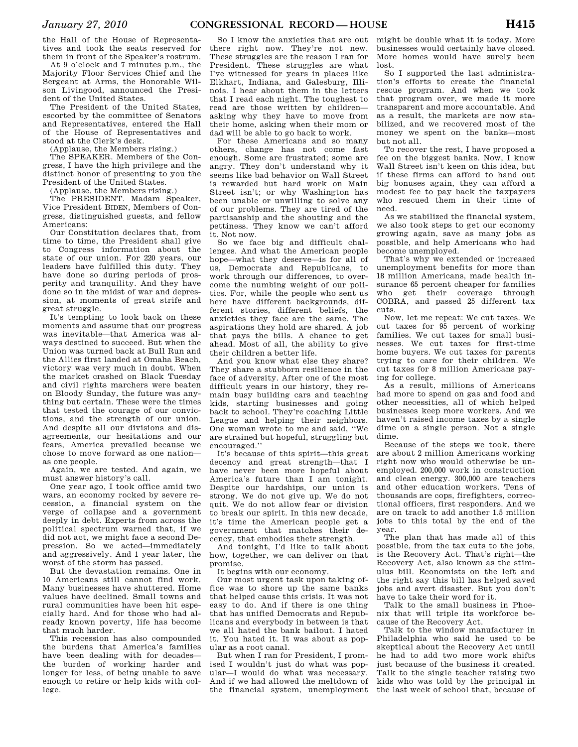the Hall of the House of Representatives and took the seats reserved for them in front of the Speaker's rostrum.

At 9 o'clock and 7 minutes p.m., the Majority Floor Services Chief and the Sergeant at Arms, the Honorable Wilson Livingood, announced the President of the United States.

The President of the United States, escorted by the committee of Senators and Representatives, entered the Hall of the House of Representatives and stood at the Clerk's desk.

(Applause, the Members rising.)

The SPEAKER. Members of the Congress, I have the high privilege and the distinct honor of presenting to you the President of the United States.

(Applause, the Members rising.)

The PRESIDENT. Madam Speaker, Vice President BIDEN, Members of Congress, distinguished guests, and fellow Americans:

Our Constitution declares that, from time to time, the President shall give to Congress information about the state of our union. For 220 years, our leaders have fulfilled this duty. They have done so during periods of prosperity and tranquility. And they have done so in the midst of war and depression, at moments of great strife and great struggle.

It's tempting to look back on these moments and assume that our progress was inevitable—that America was always destined to succeed. But when the Union was turned back at Bull Run and the Allies first landed at Omaha Beach, victory was very much in doubt. When the market crashed on Black Tuesday and civil rights marchers were beaten on Bloody Sunday, the future was anything but certain. These were the times that tested the courage of our convictions, and the strength of our union. And despite all our divisions and disagreements, our hesitations and our fears, America prevailed because we chose to move forward as one nation as one people.

Again, we are tested. And again, we must answer history's call.

One year ago, I took office amid two wars, an economy rocked by severe recession, a financial system on the verge of collapse and a government deeply in debt. Experts from across the political spectrum warned that, if we did not act, we might face a second Depression. So we acted—immediately and aggressively. And 1 year later, the worst of the storm has passed.

But the devastation remains. One in 10 Americans still cannot find work. Many businesses have shuttered. Home values have declined. Small towns and rural communities have been hit especially hard. And for those who had already known poverty, life has become that much harder.

This recession has also compounded the burdens that America's families have been dealing with for decades the burden of working harder and longer for less, of being unable to save enough to retire or help kids with college.

So I know the anxieties that are out there right now. They're not new. These struggles are the reason I ran for President. These struggles are what I've witnessed for years in places like Elkhart, Indiana, and Galesburg, Illinois. I hear about them in the letters that I read each night. The toughest to read are those written by children asking why they have to move from their home, asking when their mom or dad will be able to go back to work.

For these Americans and so many others, change has not come fast enough. Some are frustrated; some are angry. They don't understand why it seems like bad behavior on Wall Street is rewarded but hard work on Main Street isn't; or why Washington has been unable or unwilling to solve any of our problems. They are tired of the partisanship and the shouting and the pettiness. They know we can't afford it. Not now.

So we face big and difficult challenges. And what the American people hope—what they deserve—is for all of us, Democrats and Republicans, to work through our differences, to overcome the numbing weight of our politics. For, while the people who sent us here have different backgrounds, different stories, different beliefs, the anxieties they face are the same. The aspirations they hold are shared. A job that pays the bills. A chance to get ahead. Most of all, the ability to give their children a better life.

And you know what else they share? They share a stubborn resilience in the face of adversity. After one of the most difficult years in our history, they remain busy building cars and teaching kids, starting businesses and going back to school. They're coaching Little League and helping their neighbors. One woman wrote to me and said, ''We are strained but hopeful, struggling but encouraged.''

It's because of this spirit—this great decency and great strength—that I have never been more hopeful about America's future than I am tonight. Despite our hardships, our union is strong. We do not give up. We do not quit. We do not allow fear or division to break our spirit. In this new decade, it's time the American people get a government that matches their decency, that embodies their strength.

And tonight, I'd like to talk about how, together, we can deliver on that promise.

It begins with our economy.

Our most urgent task upon taking office was to shore up the same banks that helped cause this crisis. It was not easy to do. And if there is one thing that has unified Democrats and Republicans and everybody in between is that we all hated the bank bailout. I hated it. You hated it. It was about as popular as a root canal.

But when I ran for President, I promised I wouldn't just do what was popular—I would do what was necessary. And if we had allowed the meltdown of the financial system, unemployment the last week of school that, because of

might be double what it is today. More businesses would certainly have closed. More homes would have surely been lost.

So I supported the last administration's efforts to create the financial rescue program. And when we took that program over, we made it more transparent and more accountable. And as a result, the markets are now stabilized, and we recovered most of the money we spent on the banks—most but not all.

To recover the rest, I have proposed a fee on the biggest banks. Now, I know Wall Street isn't keen on this idea, but if these firms can afford to hand out big bonuses again, they can afford a modest fee to pay back the taxpayers who rescued them in their time of need.

As we stabilized the financial system, we also took steps to get our economy growing again, save as many jobs as possible, and help Americans who had become unemployed.

That's why we extended or increased unemployment benefits for more than 18 million Americans, made health insurance 65 percent cheaper for families who get their coverage through COBRA, and passed 25 different tax cuts.

Now, let me repeat: We cut taxes. We cut taxes for 95 percent of working families. We cut taxes for small businesses. We cut taxes for first-time home buyers. We cut taxes for parents trying to care for their children. We cut taxes for 8 million Americans paying for college.

As a result, millions of Americans had more to spend on gas and food and other necessities, all of which helped businesses keep more workers. And we haven't raised income taxes by a single dime on a single person. Not a single dime.

Because of the steps we took, there are about 2 million Americans working right now who would otherwise be unemployed. 200,000 work in construction and clean energy. 300,000 are teachers and other education workers. Tens of thousands are cops, firefighters, correctional officers, first responders. And we are on track to add another 1.5 million jobs to this total by the end of the year.

The plan that has made all of this possible, from the tax cuts to the jobs, is the Recovery Act. That's right—the Recovery Act, also known as the stimulus bill. Economists on the left and the right say this bill has helped saved jobs and avert disaster. But you don't have to take their word for it.

Talk to the small business in Phoenix that will triple its workforce because of the Recovery Act.

Talk to the window manufacturer in Philadelphia who said he used to be skeptical about the Recovery Act until he had to add two more work shifts just because of the business it created. Talk to the single teacher raising two kids who was told by the principal in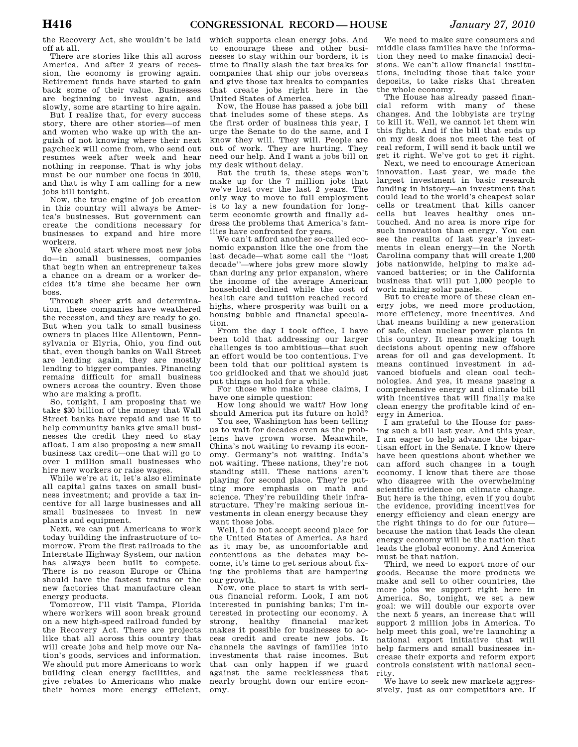the Recovery Act, she wouldn't be laid off at all.

There are stories like this all across America. And after 2 years of recession, the economy is growing again. Retirement funds have started to gain back some of their value. Businesses are beginning to invest again, and slowly, some are starting to hire again.

But I realize that, for every success story, there are other stories—of men and women who wake up with the anguish of not knowing where their next paycheck will come from, who send out resumes week after week and hear nothing in response. That is why jobs must be our number one focus in 2010, and that is why I am calling for a new jobs bill tonight.

Now, the true engine of job creation in this country will always be America's businesses. But government can create the conditions necessary for businesses to expand and hire more workers.

We should start where most new jobs do—in small businesses, companies that begin when an entrepreneur takes a chance on a dream or a worker decides it's time she became her own boss.

Through sheer grit and determination, these companies have weathered the recession, and they are ready to go. But when you talk to small business owners in places like Allentown, Pennsylvania or Elyria, Ohio, you find out that, even though banks on Wall Street are lending again, they are mostly lending to bigger companies. Financing remains difficult for small business owners across the country. Even those who are making a profit.

So, tonight, I am proposing that we take \$30 billion of the money that Wall Street banks have repaid and use it to help community banks give small businesses the credit they need to stay afloat. I am also proposing a new small business tax credit—one that will go to over 1 million small businesses who hire new workers or raise wages.

While we're at it, let's also eliminate all capital gains taxes on small business investment; and provide a tax incentive for all large businesses and all small businesses to invest in new plants and equipment.

Next, we can put Americans to work today building the infrastructure of tomorrow. From the first railroads to the Interstate Highway System, our nation has always been built to compete. There is no reason Europe or China should have the fastest trains or the new factories that manufacture clean energy products.

Tomorrow, I'll visit Tampa, Florida where workers will soon break ground on a new high-speed railroad funded by the Recovery Act. There are projects like that all across this country that will create jobs and help move our Nation's goods, services and information. We should put more Americans to work building clean energy facilities, and give rebates to Americans who make their homes more energy efficient,

which supports clean energy jobs. And to encourage these and other businesses to stay within our borders, it is time to finally slash the tax breaks for companies that ship our jobs overseas and give those tax breaks to companies that create jobs right here in the United States of America.

Now, the House has passed a jobs bill that includes some of these steps. As the first order of business this year, I urge the Senate to do the same, and I know they will. They will. People are out of work. They are hurting. They need our help. And I want a jobs bill on my desk without delay.

But the truth is, these steps won't make up for the 7 million jobs that we've lost over the last 2 years. The only way to move to full employment is to lay a new foundation for longterm economic growth and finally address the problems that America's families have confronted for years.

We can't afford another so-called economic expansion like the one from the last decade—what some call the ''lost decade''—where jobs grew more slowly than during any prior expansion, where the income of the average American household declined while the cost of health care and tuition reached record highs, where prosperity was built on a housing bubble and financial speculation.

From the day I took office, I have been told that addressing our larger challenges is too ambitious—that such an effort would be too contentious. I've been told that our political system is too gridlocked and that we should just put things on hold for a while.

For those who make these claims, I have one simple question:

How long should we wait? How long should America put its future on hold?

You see, Washington has been telling us to wait for decades even as the problems have grown worse. Meanwhile, China's not waiting to revamp its economy. Germany's not waiting. India's not waiting. These nations, they're not standing still. These nations aren't playing for second place. They're putting more emphasis on math and science. They're rebuilding their infrastructure. They're making serious investments in clean energy because they want those jobs.

Well, I do not accept second place for the United States of America. As hard as it may be, as uncomfortable and contentious as the debates may become, it's time to get serious about fixing the problems that are hampering our growth.

Now, one place to start is with serious financial reform. Look, I am not interested in punishing banks; I'm interested in protecting our economy. A strong, healthy financial market makes it possible for businesses to access credit and create new jobs. It channels the savings of families into investments that raise incomes. But that can only happen if we guard against the same recklessness that nearly brought down our entire economy.

We need to make sure consumers and middle class families have the information they need to make financial decisions. We can't allow financial institutions, including those that take your deposits, to take risks that threaten the whole economy.

The House has already passed financial reform with many of these changes. And the lobbyists are trying to kill it. Well, we cannot let them win this fight. And if the bill that ends up on my desk does not meet the test of real reform, I will send it back until we get it right. We've got to get it right.

Next, we need to encourage American innovation. Last year, we made the largest investment in basic research funding in history—an investment that could lead to the world's cheapest solar cells or treatment that kills cancer cells but leaves healthy ones untouched. And no area is more ripe for such innovation than energy. You can see the results of last year's investments in clean energy—in the North Carolina company that will create 1,200 jobs nationwide, helping to make advanced batteries; or in the California business that will put 1,000 people to work making solar panels.

But to create more of these clean energy jobs, we need more production, more efficiency, more incentives. And that means building a new generation of safe, clean nuclear power plants in this country. It means making tough decisions about opening new offshore areas for oil and gas development. It means continued investment in advanced biofuels and clean coal technologies. And yes, it means passing a comprehensive energy and climate bill with incentives that will finally make clean energy the profitable kind of energy in America.

I am grateful to the House for passing such a bill last year. And this year, I am eager to help advance the bipartisan effort in the Senate. I know there have been questions about whether we can afford such changes in a tough economy. I know that there are those who disagree with the overwhelming scientific evidence on climate change. But here is the thing, even if you doubt the evidence, providing incentives for energy efficiency and clean energy are the right things to do for our future because the nation that leads the clean energy economy will be the nation that leads the global economy. And America must be that nation.

Third, we need to export more of our goods. Because the more products we make and sell to other countries, the more jobs we support right here in America. So, tonight, we set a new goal: we will double our exports over the next 5 years, an increase that will support 2 million jobs in America. To help meet this goal, we're launching a national export initiative that will help farmers and small businesses increase their exports and reform export controls consistent with national security.

We have to seek new markets aggressively, just as our competitors are. If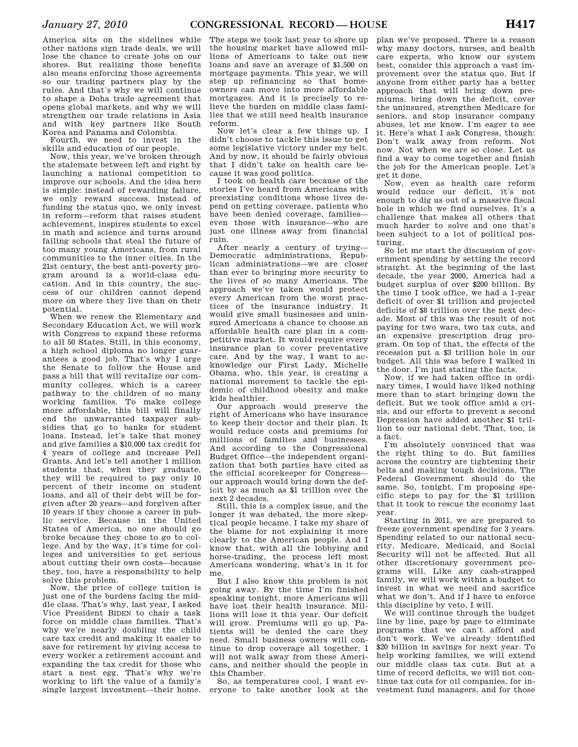America sits on the sidelines while other nations sign trade deals, we will lose the chance to create jobs on our shores. But realizing those benefits also means enforcing those agreements so our trading partners play by the rules. And that's why we will continue to shape a Doha trade agreement that opens global markets, and why we will strengthen our trade relations in Asia and with key partners like South Korea and Panama and Colombia.

Fourth, we need to invest in the skills and education of our people.

Now, this year, we've broken through the stalemate between left and right by launching a national competition to improve our schools. And the idea here is simple: instead of rewarding failure, we only reward success. Instead of funding the status quo, we only invest in reform—reform that raises student achievement, inspires students to excel in math and science and turns around failing schools that steal the future of too many young Americans, from rural communities to the inner cities. In the 21st century, the best anti-poverty program around is a world-class education. And in this country, the success of our children cannot depend more on where they live than on their potential.

When we renew the Elementary and Secondary Education Act, we will work with Congress to expand these reforms to all 50 States. Still, in this economy, a high school diploma no longer guarantees a good job. That's why I urge the Senate to follow the House and pass a bill that will revitalize our community colleges, which is a career pathway to the children of so many working families. To make college more affordable, this bill will finally end the unwarranted taxpayer subsidies that go to banks for student loans. Instead, let's take that money and give families a \$10,000 tax credit for 4 years of college and increase Pell Grants. And let's tell another 1 million students that, when they graduate, they will be required to pay only 10 percent of their income on student loans, and all of their debt will be forgiven after 20 years—and forgiven after 10 years if they choose a career in public service. Because in the United States of America, no one should go broke because they chose to go to college. And by the way, it's time for colleges and universities to get serious about cutting their own costs—because they, too, have a responsibility to help solve this problem.

Now, the price of college tuition is just one of the burdens facing the middle class. That's why, last year, I asked Vice President BIDEN to chair a task force on middle class families. That's why we're nearly doubling the child care tax credit and making it easier to save for retirement by giving access to every worker a retirement account and expanding the tax credit for those who start a nest egg. That's why we're working to lift the value of a family's single largest investment—their home.

The steps we took last year to shore up the housing market have allowed millions of Americans to take out new loans and save an average of \$1,500 on mortgage payments. This year, we will step up refinancing so that homeowners can move into more affordable mortgages. And it is precisely to relieve the burden on middle class families that we still need health insurance reform.

Now let's clear a few things up. I didn't choose to tackle this issue to get some legislative victory under my belt. And by now, it should be fairly obvious that I didn't take on health care because it was good politics.

I took on health care because of the stories I've heard from Americans with preexisting conditions whose lives depend on getting coverage, patients who have been denied coverage, families even those with insurance—who are just one illness away from financial ruin.

After nearly a century of trying— Democratic administrations, Republican administrations—we are closer than ever to bringing more security to the lives of so many Americans. The approach we've taken would protect every American from the worst practices of the insurance industry. It would give small businesses and uninsured Americans a chance to choose an affordable health care plan in a competitive market. It would require every insurance plan to cover preventative care. And by the way, I want to acknowledge our First Lady, Michelle Obama, who, this year, is creating a national movement to tackle the epidemic of childhood obesity and make kids healthier.

Our approach would preserve the right of Americans who have insurance to keep their doctor and their plan. It would reduce costs and premiums for millions of families and businesses. And according to the Congressional Budget Office—the independent organization that both parties have cited as the official scorekeeper for Congress our approach would bring down the deficit by as much as \$1 trillion over the next 2 decades.

Still, this is a complex issue, and the longer it was debated, the more skeptical people became. I take my share of the blame for not explaining it more clearly to the American people. And I know that, with all the lobbying and horse-trading, the process left most Americans wondering, what's in it for me.

But I also know this problem is not going away. By the time I'm finished speaking tonight, more Americans will have lost their health insurance. Millions will lose it this year. Our deficit will grow. Premiums will go up. Patients will be denied the care they need. Small business owners will continue to drop coverage all together. I will not walk away from these Americans, and neither should the people in this Chamber.

So, as temperatures cool, I want everyone to take another look at the plan we've proposed. There is a reason why many doctors, nurses, and health care experts, who know our system best, consider this approach a vast improvement over the status quo. But if anyone from either party has a better approach that will bring down premiums, bring down the deficit, cover the uninsured, strengthen Medicare for seniors, and stop insurance company abuses, let me know. I'm eager to see it. Here's what I ask Congress, though: Don't walk away from reform. Not now. Not when we are so close. Let us find a way to come together and finish the job for the American people. Let's get it done.

Now, even as health care reform would reduce our deficit, it's not enough to dig us out of a massive fiscal hole in which we find ourselves. It's a challenge that makes all others that much harder to solve and one that's been subject to a lot of political posturing.

So let me start the discussion of government spending by setting the record straight. At the beginning of the last decade, the year 2000, America had a budget surplus of over \$200 billion. By the time I took office, we had a 1-year deficit of over \$1 trillion and projected deficits of \$8 trillion over the next decade. Most of this was the result of not paying for two wars, two tax cuts, and an expensive prescription drug program. On top of that, the effects of the recession put a \$3 trillion hole in our budget. All this was before I walked in the door. I'm just stating the facts.

Now, if we had taken office in ordinary times, I would have liked nothing more than to start bringing down the deficit. But we took office amid a crisis, and our efforts to prevent a second Depression have added another \$1 trillion to our national debt. That, too, is a fact.

I'm absolutely convinced that was the right thing to do. But families across the country are tightening their belts and making tough decisions. The Federal Government should do the same. So, tonight, I'm proposing specific steps to pay for the \$1 trillion that it took to rescue the economy last year.

Starting in 2011, we are prepared to freeze government spending for 3 years. Spending related to our national security, Medicare, Medicaid, and Social Security will not be affected. But all other discretionary government programs will. Like any cash-strapped family, we will work within a budget to invest in what we need and sacrifice what we don't. And if I have to enforce this discipline by veto, I will.

We will continue through the budget line by line, page by page to eliminate programs that we can't afford and don't work. We've already identified \$20 billion in savings for next year. To help working families, we will extend our middle class tax cuts. But at a time of record deficits, we will not continue tax cuts for oil companies, for investment fund managers, and for those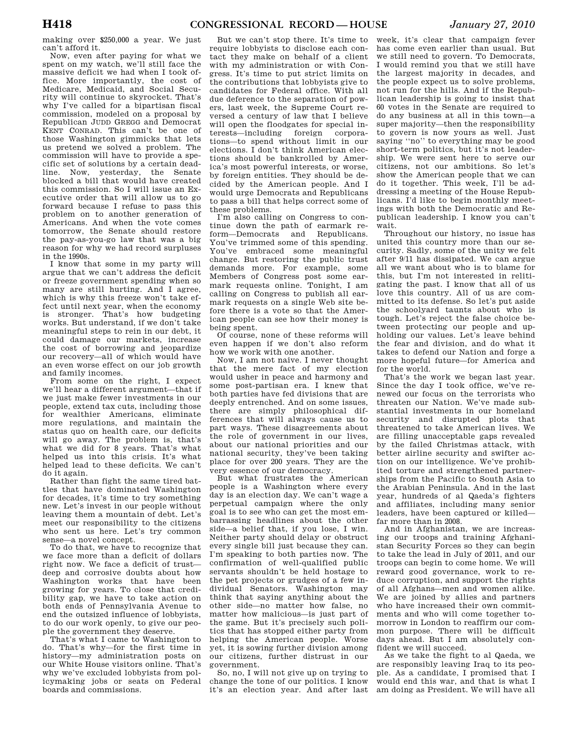making over \$250,000 a year. We just can't afford it.

Now, even after paying for what we spent on my watch, we'll still face the massive deficit we had when I took office. More importantly, the cost of Medicare, Medicaid, and Social Security will continue to skyrocket. That's why I've called for a bipartisan fiscal commission, modeled on a proposal by Republican JUDD GREGG and Democrat KENT CONRAD. This can't be one of those Washington gimmicks that lets us pretend we solved a problem. The commission will have to provide a specific set of solutions by a certain deadline. Now, yesterday, the Senate blocked a bill that would have created this commission. So I will issue an Executive order that will allow us to go forward because I refuse to pass this problem on to another generation of Americans. And when the vote comes tomorrow, the Senate should restore the pay-as-you-go law that was a big reason for why we had record surpluses in the 1990s.

I know that some in my party will argue that we can't address the deficit or freeze government spending when so many are still hurting. And I agree, which is why this freeze won't take effect until next year, when the economy is stronger. That's how budgeting works. But understand, if we don't take meaningful steps to rein in our debt, it could damage our markets, increase the cost of borrowing and jeopardize our recovery—all of which would have an even worse effect on our job growth and family incomes.

From some on the right, I expect we'll hear a different argument—that if we just make fewer investments in our people, extend tax cuts, including those for wealthier Americans, eliminate more regulations, and maintain the status quo on health care, our deficits will go away. The problem is, that's what we did for 8 years. That's what helped us into this crisis. It's what helped lead to these deficits. We can't do it again.

Rather than fight the same tired battles that have dominated Washington for decades, it's time to try something new. Let's invest in our people without leaving them a mountain of debt. Let's meet our responsibility to the citizens who sent us here. Let's try common sense—a novel concept.

To do that, we have to recognize that we face more than a deficit of dollars right now. We face a deficit of trust deep and corrosive doubts about how Washington works that have been growing for years. To close that credibility gap, we have to take action on both ends of Pennsylvania Avenue to end the outsized influence of lobbyists, to do our work openly, to give our people the government they deserve.

That's what I came to Washington to do. That's why—for the first time in history—my administration posts on our White House visitors online. That's why we've excluded lobbyists from policymaking jobs or seats on Federal boards and commissions.

But we can't stop there. It's time to require lobbyists to disclose each contact they make on behalf of a client with my administration or with Congress. It's time to put strict limits on the contributions that lobbyists give to candidates for Federal office. With all due deference to the separation of powers, last week, the Supreme Court reversed a century of law that I believe will open the floodgates for special interests—including foreign corporations—to spend without limit in our elections. I don't think American elections should be bankrolled by America's most powerful interests, or worse, by foreign entities. They should be decided by the American people. And I would urge Democrats and Republicans to pass a bill that helps correct some of these problems.

I'm also calling on Congress to continue down the path of earmark reform—Democrats and Republicans. You've trimmed some of this spending. You've embraced some meaningful change. But restoring the public trust demands more. For example, some Members of Congress post some earmark requests online. Tonight, I am calling on Congress to publish all earmark requests on a single Web site before there is a vote so that the American people can see how their money is being spent.

Of course, none of these reforms will even happen if we don't also reform how we work with one another.

Now, I am not naive. I never thought that the mere fact of my election would usher in peace and harmony and some post-partisan era. I knew that both parties have fed divisions that are deeply entrenched. And on some issues, there are simply philosophical differences that will always cause us to part ways. These disagreements about the role of government in our lives, about our national priorities and our national security, they've been taking place for over 200 years. They are the very essence of our democracy.

But what frustrates the American people is a Washington where every day is an election day. We can't wage a perpetual campaign where the only goal is to see who can get the most embarrassing headlines about the other side—a belief that, if you lose, I win. Neither party should delay or obstruct every single bill just because they can. I'm speaking to both parties now. The confirmation of well-qualified public servants shouldn't be held hostage to the pet projects or grudges of a few individual Senators. Washington may think that saying anything about the other side—no matter how false, no matter how malicious—is just part of the game. But it's precisely such politics that has stopped either party from helping the American people. Worse yet, it is sowing further division among our citizens, further distrust in our government.

So, no, I will not give up on trying to change the tone of our politics. I know it's an election year. And after last

week, it's clear that campaign fever has come even earlier than usual. But we still need to govern. To Democrats, I would remind you that we still have the largest majority in decades, and the people expect us to solve problems, not run for the hills. And if the Republican leadership is going to insist that 60 votes in the Senate are required to do any business at all in this town—a super majority—then the responsibility to govern is now yours as well. Just saying ''no'' to everything may be good short-term politics, but it's not leadership. We were sent here to serve our citizens, not our ambitions. So let's show the American people that we can do it together. This week, I'll be addressing a meeting of the House Republicans. I'd like to begin monthly meetings with both the Democratic and Republican leadership. I know you can't wait.

Throughout our history, no issue has united this country more than our security. Sadly, some of the unity we felt after 9/11 has dissipated. We can argue all we want about who is to blame for this, but I'm not interested in relitigating the past. I know that all of us love this country. All of us are committed to its defense. So let's put aside the schoolyard taunts about who is tough. Let's reject the false choice between protecting our people and upholding our values. Let's leave behind the fear and division, and do what it takes to defend our Nation and forge a more hopeful future—for America and for the world.

That's the work we began last year. Since the day I took office, we've renewed our focus on the terrorists who threaten our Nation. We've made substantial investments in our homeland security and disrupted plots that threatened to take American lives. We are filling unacceptable gaps revealed by the failed Christmas attack, with better airline security and swifter action on our intelligence. We've prohibited torture and strengthened partnerships from the Pacific to South Asia to the Arabian Peninsula. And in the last year, hundreds of al Qaeda's fighters and affiliates, including many senior leaders, have been captured or killed far more than in 2008.

And in Afghanistan, we are increasing our troops and training Afghanistan Security Forces so they can begin to take the lead in July of 2011, and our troops can begin to come home. We will reward good governance, work to reduce corruption, and support the rights of all Afghans—men and women alike. We are joined by allies and partners who have increased their own commitments and who will come together tomorrow in London to reaffirm our common purpose. There will be difficult days ahead. But I am absolutely confident we will succeed.

As we take the fight to al Qaeda, we are responsibly leaving Iraq to its people. As a candidate, I promised that I would end this war, and that is what I am doing as President. We will have all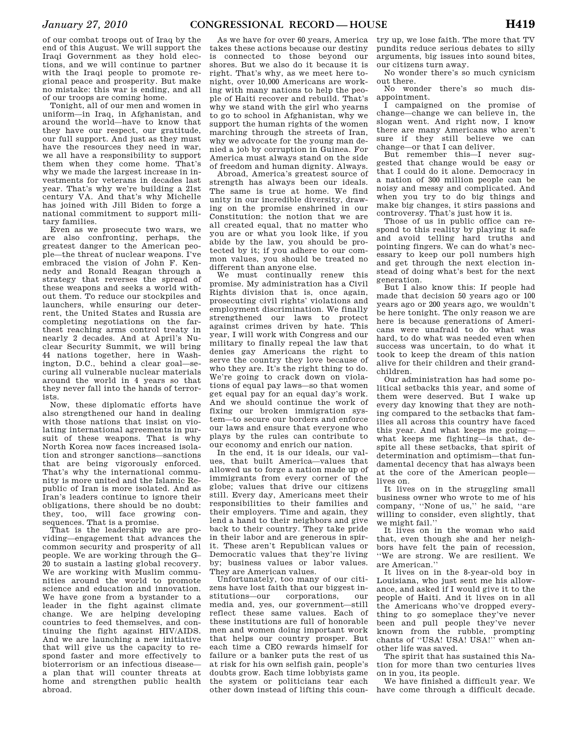of our combat troops out of Iraq by the end of this August. We will support the Iraqi Government as they hold elections, and we will continue to partner with the Iraqi people to promote regional peace and prosperity. But make no mistake: this war is ending, and all of our troops are coming home.

Tonight, all of our men and women in uniform—in Iraq, in Afghanistan, and around the world—have to know that they have our respect, our gratitude, our full support. And just as they must have the resources they need in war, we all have a responsibility to support them when they come home. That's why we made the largest increase in investments for veterans in decades last year. That's why we're building a 21st century VA. And that's why Michelle has joined with Jill Biden to forge a national commitment to support military families.

Even as we prosecute two wars, we are also confronting, perhaps, the greatest danger to the American people—the threat of nuclear weapons. I've embraced the vision of John F. Kennedy and Ronald Reagan through a strategy that reverses the spread of these weapons and seeks a world without them. To reduce our stockpiles and launchers, while ensuring our deterrent, the United States and Russia are completing negotiations on the farthest reaching arms control treaty in nearly 2 decades. And at April's Nuclear Security Summit, we will bring 44 nations together, here in Washington, D.C., behind a clear goal—securing all vulnerable nuclear materials around the world in 4 years so that they never fall into the hands of terrorists.

Now, these diplomatic efforts have also strengthened our hand in dealing with those nations that insist on violating international agreements in pursuit of these weapons. That is why North Korea now faces increased isolation and stronger sanctions—sanctions that are being vigorously enforced. That's why the international community is more united and the Islamic Republic of Iran is more isolated. And as Iran's leaders continue to ignore their obligations, there should be no doubt: they, too, will face growing consequences. That is a promise.

That is the leadership we are providing—engagement that advances the common security and prosperity of all people. We are working through the G– 20 to sustain a lasting global recovery. We are working with Muslim communities around the world to promote science and education and innovation. We have gone from a bystander to a leader in the fight against climate change. We are helping developing countries to feed themselves, and continuing the fight against HIV/AIDS. And we are launching a new initiative that will give us the capacity to respond faster and more effectively to bioterrorism or an infectious disease a plan that will counter threats at home and strengthen public health abroad.

As we have for over 60 years, America takes these actions because our destiny is connected to those beyond our shores. But we also do it because it is right. That's why, as we meet here tonight, over 10,000 Americans are working with many nations to help the people of Haiti recover and rebuild. That's why we stand with the girl who yearns to go to school in Afghanistan, why we support the human rights of the women marching through the streets of Iran, why we advocate for the young man denied a job by corruption in Guinea. For America must always stand on the side of freedom and human dignity. Always.

Abroad, America's greatest source of strength has always been our ideals. The same is true at home. We find unity in our incredible diversity, drawing on the promise enshrined in our Constitution: the notion that we are all created equal, that no matter who you are or what you look like, if you abide by the law, you should be protected by it; if you adhere to our common values, you should be treated no different than anyone else.

We must continually renew this promise. My administration has a Civil Rights division that is, once again, prosecuting civil rights' violations and employment discrimination. We finally strengthened our laws to protect against crimes driven by hate. This year, I will work with Congress and our military to finally repeal the law that denies gay Americans the right to serve the country they love because of who they are. It's the right thing to do. We're going to crack down on violations of equal pay laws—so that women get equal pay for an equal day's work. And we should continue the work of fixing our broken immigration system—to secure our borders and enforce our laws and ensure that everyone who plays by the rules can contribute to our economy and enrich our nation.

In the end, it is our ideals, our values, that built America—values that allowed us to forge a nation made up of immigrants from every corner of the globe; values that drive our citizens still. Every day, Americans meet their responsibilities to their families and their employers. Time and again, they lend a hand to their neighbors and give back to their country. They take pride in their labor and are generous in spirit. These aren't Republican values or Democratic values that they're living by; business values or labor values. They are American values.

Unfortunately, too many of our citizens have lost faith that our biggest institutions—our corporations, our media and, yes, our government—still reflect these same values. Each of these institutions are full of honorable men and women doing important work that helps our country prosper. But each time a CEO rewards himself for failure or a banker puts the rest of us at risk for his own selfish gain, people's doubts grow. Each time lobbyists game the system or politicians tear each other down instead of lifting this coun-

try up, we lose faith. The more that TV pundits reduce serious debates to silly arguments, big issues into sound bites, our citizens turn away.

No wonder there's so much cynicism out there.

No wonder there's so much disappointment.

I campaigned on the promise of change—change we can believe in, the slogan went. And right now, I know there are many Americans who aren't sure if they still believe we can change—or that I can deliver.

But remember this—I never suggested that change would be easy or that I could do it alone. Democracy in a nation of 300 million people can be noisy and messy and complicated. And when you try to do big things and make big changes, it stirs passions and controversy. That's just how it is.

Those of us in public office can respond to this reality by playing it safe and avoid telling hard truths and pointing fingers. We can do what's necessary to keep our poll numbers high and get through the next election instead of doing what's best for the next generation.

But I also know this: If people had made that decision 50 years ago or 100 years ago or 200 years ago, we wouldn't be here tonight. The only reason we are here is because generations of Americans were unafraid to do what was hard, to do what was needed even when success was uncertain, to do what it took to keep the dream of this nation alive for their children and their grandchildren.

Our administration has had some political setbacks this year, and some of them were deserved. But I wake up every day knowing that they are nothing compared to the setbacks that families all across this country have faced this year. And what keeps me going what keeps me fighting—is that, despite all these setbacks, that spirit of determination and optimism—that fundamental decency that has always been at the core of the American people lives on.

It lives on in the struggling small business owner who wrote to me of his company, ''None of us,'' he said, ''are willing to consider, even slightly, that we might fail.''

It lives on in the woman who said that, even though she and her neighbors have felt the pain of recession, ''We are strong. We are resilient. We are American.''

It lives on in the 8-year-old boy in Louisiana, who just sent me his allowance, and asked if I would give it to the people of Haiti. And it lives on in all the Americans who've dropped everything to go someplace they've never been and pull people they've never known from the rubble, prompting chants of ''USA! USA! USA!'' when another life was saved.

The spirit that has sustained this Nation for more than two centuries lives on in you, its people.

We have finished a difficult year. We have come through a difficult decade.